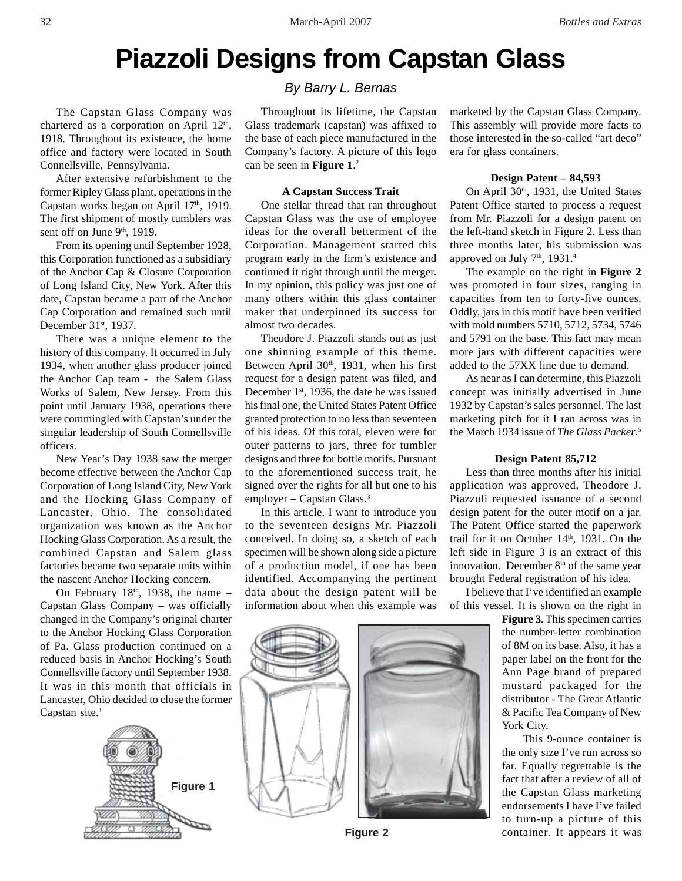# **Piazzoli Designs from Capstan Glass**

The Capstan Glass Company was chartered as a corporation on April  $12<sup>th</sup>$ , 1918. Throughout its existence, the home office and factory were located in South Connellsville, Pennsylvania.

After extensive refurbishment to the former Ripley Glass plant, operations in the Capstan works began on April 17<sup>th</sup>, 1919. The first shipment of mostly tumblers was sent off on June 9<sup>th</sup>, 1919.

From its opening until September 1928, this Corporation functioned as a subsidiary of the Anchor Cap & Closure Corporation of Long Island City, New York. After this date, Capstan became a part of the Anchor Cap Corporation and remained such until December 31<sup>st</sup>, 1937.

There was a unique element to the history of this company. It occurred in July 1934, when another glass producer joined the Anchor Cap team - the Salem Glass Works of Salem, New Jersey. From this point until January 1938, operations there were commingled with Capstan's under the singular leadership of South Connellsville officers.

New Year's Day 1938 saw the merger become effective between the Anchor Cap Corporation of Long Island City, New York and the Hocking Glass Company of Lancaster, Ohio. The consolidated organization was known as the Anchor Hocking Glass Corporation. As a result, the combined Capstan and Salem glass factories became two separate units within the nascent Anchor Hocking concern.

On February  $18<sup>th</sup>$ , 1938, the name – Capstan Glass Company – was officially changed in the Company's original charter to the Anchor Hocking Glass Corporation of Pa. Glass production continued on a reduced basis in Anchor Hocking's South Connellsville factory until September 1938. It was in this month that officials in Lancaster, Ohio decided to close the former Capstan site. $<sup>1</sup>$ </sup>



## *By Barry L. Bernas*

Throughout its lifetime, the Capstan Glass trademark (capstan) was affixed to the base of each piece manufactured in the Company's factory. A picture of this logo can be seen in **Figure 1**. 2

#### **A Capstan Success Trait**

One stellar thread that ran throughout Capstan Glass was the use of employee ideas for the overall betterment of the Corporation. Management started this program early in the firm's existence and continued it right through until the merger. In my opinion, this policy was just one of many others within this glass container maker that underpinned its success for almost two decades.

Theodore J. Piazzoli stands out as just one shinning example of this theme. Between April  $30<sup>th</sup>$ , 1931, when his first request for a design patent was filed, and December 1<sup>st</sup>, 1936, the date he was issued his final one, the United States Patent Office granted protection to no less than seventeen of his ideas. Of this total, eleven were for outer patterns to jars, three for tumbler designs and three for bottle motifs. Pursuant to the aforementioned success trait, he signed over the rights for all but one to his employer – Capstan Glass.3

In this article, I want to introduce you to the seventeen designs Mr. Piazzoli conceived. In doing so, a sketch of each specimen will be shown along side a picture of a production model, if one has been identified. Accompanying the pertinent data about the design patent will be information about when this example was

marketed by the Capstan Glass Company. This assembly will provide more facts to those interested in the so-called "art deco" era for glass containers.

#### **Design Patent – 84,593**

On April 30<sup>th</sup>, 1931, the United States Patent Office started to process a request from Mr. Piazzoli for a design patent on the left-hand sketch in Figure 2. Less than three months later, his submission was approved on July  $7<sup>th</sup>$ , 1931.<sup>4</sup>

The example on the right in **Figure 2** was promoted in four sizes, ranging in capacities from ten to forty-five ounces. Oddly, jars in this motif have been verified with mold numbers 5710, 5712, 5734, 5746 and 5791 on the base. This fact may mean more jars with different capacities were added to the 57XX line due to demand.

As near as I can determine, this Piazzoli concept was initially advertised in June 1932 by Capstan's sales personnel. The last marketing pitch for it I ran across was in the March 1934 issue of *The Glass Packer*. 5

## **Design Patent 85,712**

Less than three months after his initial application was approved, Theodore J. Piazzoli requested issuance of a second design patent for the outer motif on a jar. The Patent Office started the paperwork trail for it on October 14th, 1931. On the left side in Figure 3 is an extract of this innovation. December  $8<sup>th</sup>$  of the same year brought Federal registration of his idea.

I believe that I've identified an example of this vessel. It is shown on the right in

> **Figure 3**. This specimen carries the number-letter combination of 8M on its base. Also, it has a paper label on the front for the Ann Page brand of prepared mustard packaged for the distributor - The Great Atlantic & Pacific Tea Company of New York City.

> This 9-ounce container is the only size I've run across so far. Equally regrettable is the fact that after a review of all of the Capstan Glass marketing endorsements I have I've failed to turn-up a picture of this container. It appears it was



**Figure 2**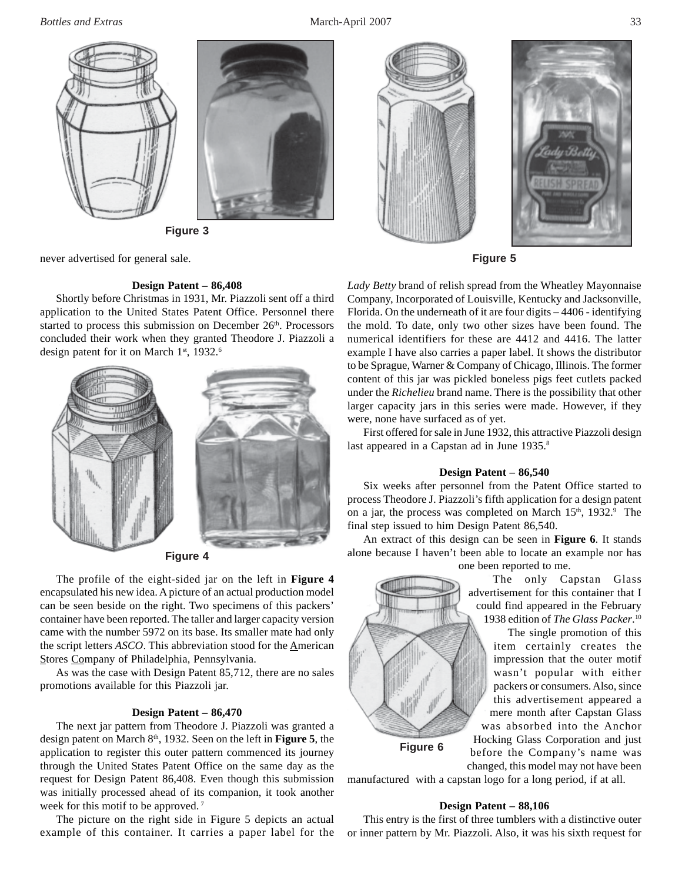

**Figure 3**

never advertised for general sale.

## **Design Patent – 86,408**

Shortly before Christmas in 1931, Mr. Piazzoli sent off a third application to the United States Patent Office. Personnel there started to process this submission on December  $26<sup>th</sup>$ . Processors concluded their work when they granted Theodore J. Piazzoli a design patent for it on March 1<sup>st</sup>, 1932.<sup>6</sup>



**Figure 4**

The profile of the eight-sided jar on the left in **Figure 4** encapsulated his new idea. A picture of an actual production model can be seen beside on the right. Two specimens of this packers' container have been reported. The taller and larger capacity version came with the number 5972 on its base. Its smaller mate had only the script letters *ASCO*. This abbreviation stood for the American Stores Company of Philadelphia, Pennsylvania.

As was the case with Design Patent 85,712, there are no sales promotions available for this Piazzoli jar.

#### **Design Patent – 86,470**

The next jar pattern from Theodore J. Piazzoli was granted a design patent on March 8th, 1932. Seen on the left in **Figure 5**, the application to register this outer pattern commenced its journey through the United States Patent Office on the same day as the request for Design Patent 86,408. Even though this submission was initially processed ahead of its companion, it took another week for this motif to be approved.<sup>7</sup>

The picture on the right side in Figure 5 depicts an actual example of this container. It carries a paper label for the





**Figure 5**

*Lady Betty* brand of relish spread from the Wheatley Mayonnaise Company, Incorporated of Louisville, Kentucky and Jacksonville, Florida. On the underneath of it are four digits – 4406 - identifying the mold. To date, only two other sizes have been found. The numerical identifiers for these are 4412 and 4416. The latter example I have also carries a paper label. It shows the distributor to be Sprague, Warner & Company of Chicago, Illinois. The former content of this jar was pickled boneless pigs feet cutlets packed under the *Richelieu* brand name. There is the possibility that other larger capacity jars in this series were made. However, if they were, none have surfaced as of yet.

First offered for sale in June 1932, this attractive Piazzoli design last appeared in a Capstan ad in June 1935.<sup>8</sup>

#### **Design Patent – 86,540**

Six weeks after personnel from the Patent Office started to process Theodore J. Piazzoli's fifth application for a design patent on a jar, the process was completed on March 15<sup>th</sup>, 1932.<sup>9</sup> The final step issued to him Design Patent 86,540.

An extract of this design can be seen in **Figure 6**. It stands alone because I haven't been able to locate an example nor has

one been reported to me.



 The only Capstan Glass advertisement for this container that I could find appeared in the February 1938 edition of *The Glass Packer*. 10

The single promotion of this item certainly creates the impression that the outer motif wasn't popular with either packers or consumers. Also, since this advertisement appeared a mere month after Capstan Glass was absorbed into the Anchor Hocking Glass Corporation and just before the Company's name was changed, this model may not have been

manufactured with a capstan logo for a long period, if at all.

#### **Design Patent – 88,106**

This entry is the first of three tumblers with a distinctive outer or inner pattern by Mr. Piazzoli. Also, it was his sixth request for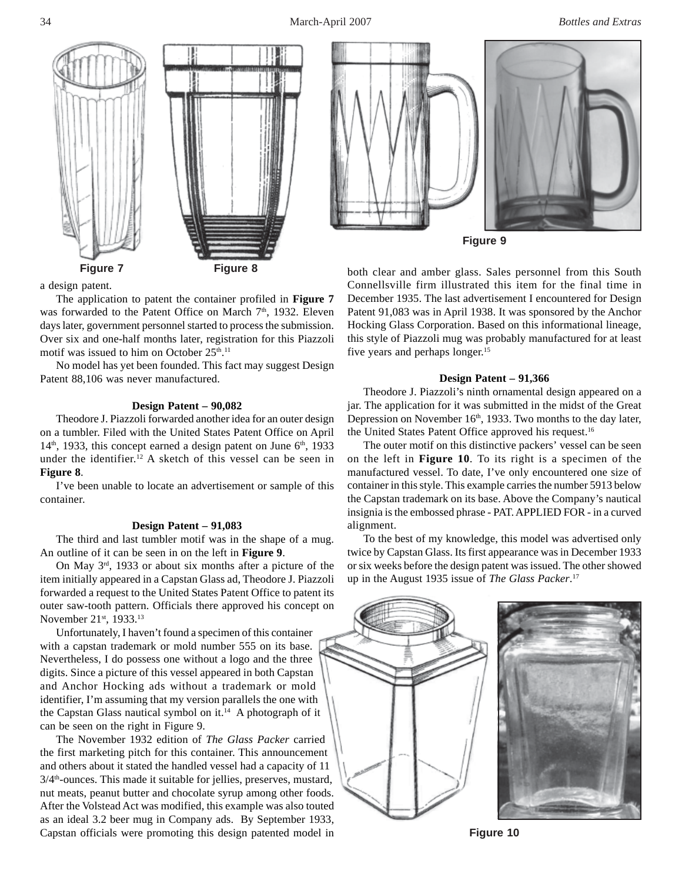

a design patent.

The application to patent the container profiled in **Figure 7** was forwarded to the Patent Office on March 7<sup>th</sup>, 1932. Eleven days later, government personnel started to process the submission. Over six and one-half months later, registration for this Piazzoli motif was issued to him on October 25<sup>th</sup>.<sup>11</sup>

No model has yet been founded. This fact may suggest Design Patent 88,106 was never manufactured.

#### **Design Patent – 90,082**

Theodore J. Piazzoli forwarded another idea for an outer design on a tumbler. Filed with the United States Patent Office on April  $14<sup>th</sup>$ , 1933, this concept earned a design patent on June  $6<sup>th</sup>$ , 1933 under the identifier.<sup>12</sup> A sketch of this vessel can be seen in **Figure 8**.

I've been unable to locate an advertisement or sample of this container.

#### **Design Patent – 91,083**

The third and last tumbler motif was in the shape of a mug. An outline of it can be seen in on the left in **Figure 9**.

On May 3rd, 1933 or about six months after a picture of the item initially appeared in a Capstan Glass ad, Theodore J. Piazzoli forwarded a request to the United States Patent Office to patent its outer saw-tooth pattern. Officials there approved his concept on November 21<sup>st</sup>, 1933.<sup>13</sup>

Unfortunately, I haven't found a specimen of this container with a capstan trademark or mold number 555 on its base. Nevertheless, I do possess one without a logo and the three digits. Since a picture of this vessel appeared in both Capstan and Anchor Hocking ads without a trademark or mold identifier, I'm assuming that my version parallels the one with the Capstan Glass nautical symbol on  $it^{14}$ . A photograph of it can be seen on the right in Figure 9.

The November 1932 edition of *The Glass Packer* carried the first marketing pitch for this container. This announcement and others about it stated the handled vessel had a capacity of 11  $3/4<sup>th</sup>$ -ounces. This made it suitable for jellies, preserves, mustard, nut meats, peanut butter and chocolate syrup among other foods. After the Volstead Act was modified, this example was also touted as an ideal 3.2 beer mug in Company ads. By September 1933, Capstan officials were promoting this design patented model in **Figure 10**



**Figure 9**

both clear and amber glass. Sales personnel from this South Connellsville firm illustrated this item for the final time in December 1935. The last advertisement I encountered for Design Patent 91,083 was in April 1938. It was sponsored by the Anchor Hocking Glass Corporation. Based on this informational lineage, this style of Piazzoli mug was probably manufactured for at least five years and perhaps longer.15

#### **Design Patent – 91,366**

Theodore J. Piazzoli's ninth ornamental design appeared on a jar. The application for it was submitted in the midst of the Great Depression on November 16<sup>th</sup>, 1933. Two months to the day later, the United States Patent Office approved his request.16

The outer motif on this distinctive packers' vessel can be seen on the left in **Figure 10**. To its right is a specimen of the manufactured vessel. To date, I've only encountered one size of container in this style. This example carries the number 5913 below the Capstan trademark on its base. Above the Company's nautical insignia is the embossed phrase - PAT. APPLIED FOR - in a curved alignment.

To the best of my knowledge, this model was advertised only twice by Capstan Glass. Its first appearance was in December 1933 or six weeks before the design patent was issued. The other showed up in the August 1935 issue of *The Glass Packer*. 17

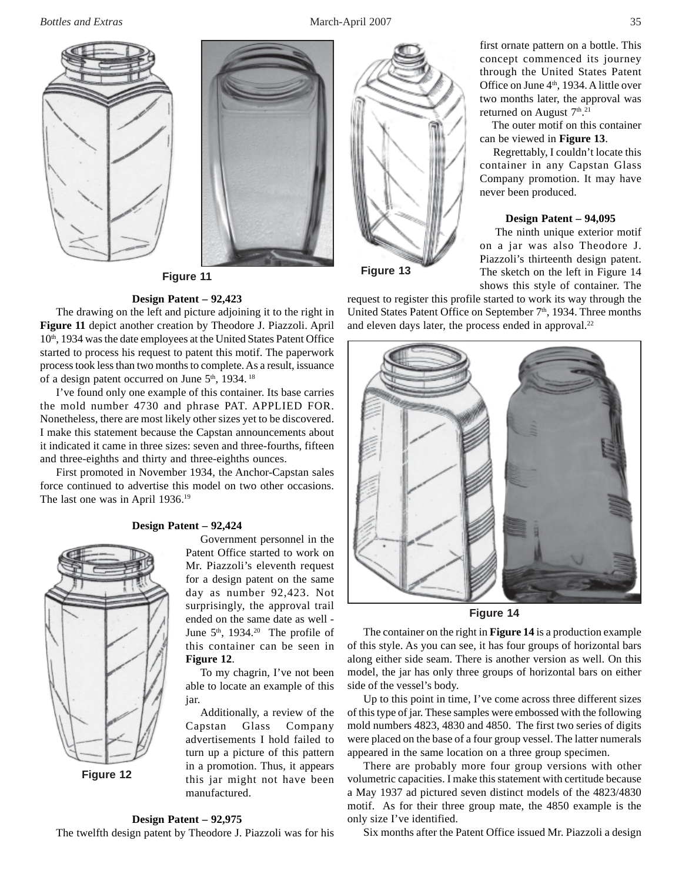*Bottles and Extras* March-April 2007 35





**Figure 11**

## **Design Patent – 92,423**

The drawing on the left and picture adjoining it to the right in **Figure 11** depict another creation by Theodore J. Piazzoli. April 10<sup>th</sup>, 1934 was the date employees at the United States Patent Office started to process his request to patent this motif. The paperwork process took less than two months to complete. As a result, issuance of a design patent occurred on June 5<sup>th</sup>, 1934.<sup>18</sup>

I've found only one example of this container. Its base carries the mold number 4730 and phrase PAT. APPLIED FOR. Nonetheless, there are most likely other sizes yet to be discovered. I make this statement because the Capstan announcements about it indicated it came in three sizes: seven and three-fourths, fifteen and three-eighths and thirty and three-eighths ounces.

First promoted in November 1934, the Anchor-Capstan sales force continued to advertise this model on two other occasions. The last one was in April 1936.<sup>19</sup>

## **Design Patent – 92,424**



Government personnel in the Patent Office started to work on Mr. Piazzoli's eleventh request for a design patent on the same day as number 92,423. Not surprisingly, the approval trail ended on the same date as well - June  $5<sup>th</sup>$ , 1934.<sup>20</sup> The profile of this container can be seen in **Figure 12**.

To my chagrin, I've not been able to locate an example of this jar.

Additionally, a review of the Capstan Glass Company advertisements I hold failed to turn up a picture of this pattern in a promotion. Thus, it appears this jar might not have been manufactured.

## **Design Patent – 92,975**

The twelfth design patent by Theodore J. Piazzoli was for his



**Figure 13**

shows this style of container. The request to register this profile started to work its way through the United States Patent Office on September  $7<sup>th</sup>$ , 1934. Three months and eleven days later, the process ended in approval.<sup>22</sup>



**Figure 14**

The container on the right in **Figure 14** is a production example of this style. As you can see, it has four groups of horizontal bars along either side seam. There is another version as well. On this model, the jar has only three groups of horizontal bars on either side of the vessel's body.

Up to this point in time, I've come across three different sizes of this type of jar. These samples were embossed with the following mold numbers 4823, 4830 and 4850. The first two series of digits were placed on the base of a four group vessel. The latter numerals appeared in the same location on a three group specimen.

There are probably more four group versions with other volumetric capacities. I make this statement with certitude because a May 1937 ad pictured seven distinct models of the 4823/4830 motif. As for their three group mate, the 4850 example is the only size I've identified.

Six months after the Patent Office issued Mr. Piazzoli a design

first ornate pattern on a bottle. This concept commenced its journey through the United States Patent Office on June 4<sup>th</sup>, 1934. A little over two months later, the approval was

The outer motif on this container

 Regrettably, I couldn't locate this container in any Capstan Glass Company promotion. It may have

**Design Patent – 94,095** The ninth unique exterior motif on a jar was also Theodore J. Piazzoli's thirteenth design patent. The sketch on the left in Figure 14

returned on August  $7<sup>th</sup>$ .<sup>21</sup>

never been produced.

can be viewed in **Figure 13**.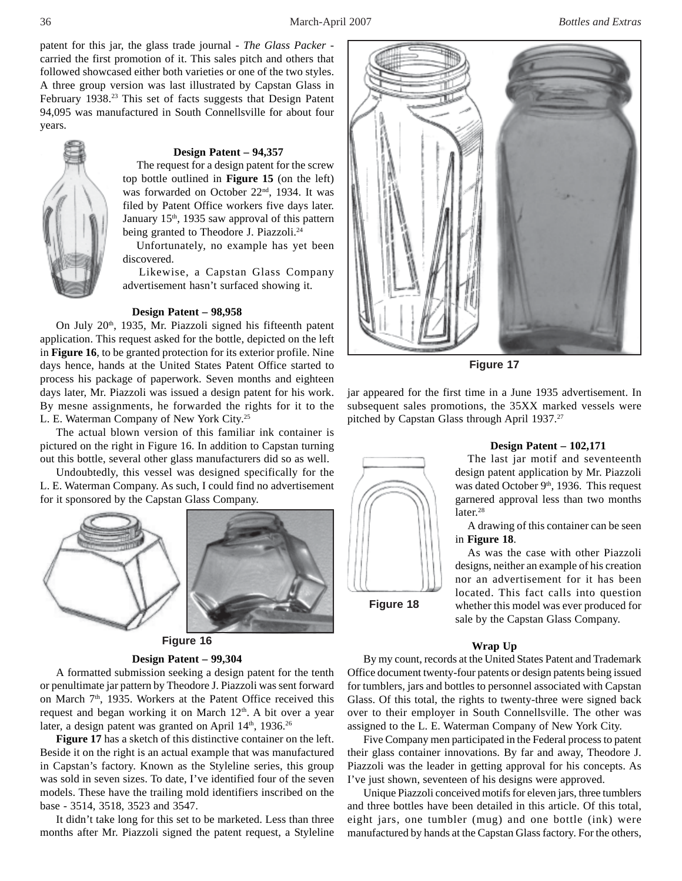patent for this jar, the glass trade journal - *The Glass Packer* carried the first promotion of it. This sales pitch and others that followed showcased either both varieties or one of the two styles. A three group version was last illustrated by Capstan Glass in February 1938.<sup>23</sup> This set of facts suggests that Design Patent 94,095 was manufactured in South Connellsville for about four years.



#### **Design Patent – 94,357**

The request for a design patent for the screw top bottle outlined in **Figure 15** (on the left) was forwarded on October 22<sup>nd</sup>, 1934. It was filed by Patent Office workers five days later. January 15<sup>th</sup>, 1935 saw approval of this pattern being granted to Theodore J. Piazzoli.<sup>24</sup>

 Unfortunately, no example has yet been discovered.

 Likewise, a Capstan Glass Company advertisement hasn't surfaced showing it.

#### **Design Patent – 98,958**

On July  $20<sup>th</sup>$ , 1935, Mr. Piazzoli signed his fifteenth patent application. This request asked for the bottle, depicted on the left in **Figure 16**, to be granted protection for its exterior profile. Nine days hence, hands at the United States Patent Office started to process his package of paperwork. Seven months and eighteen days later, Mr. Piazzoli was issued a design patent for his work. By mesne assignments, he forwarded the rights for it to the L. E. Waterman Company of New York City.25

The actual blown version of this familiar ink container is pictured on the right in Figure 16. In addition to Capstan turning out this bottle, several other glass manufacturers did so as well.

Undoubtedly, this vessel was designed specifically for the L. E. Waterman Company. As such, I could find no advertisement for it sponsored by the Capstan Glass Company.



**Figure 16**

#### **Design Patent – 99,304**

A formatted submission seeking a design patent for the tenth or penultimate jar pattern by Theodore J. Piazzoli was sent forward on March  $7<sup>th</sup>$ , 1935. Workers at the Patent Office received this request and began working it on March  $12<sup>th</sup>$ . A bit over a year later, a design patent was granted on April  $14<sup>th</sup>$ , 1936.<sup>26</sup>

**Figure 17** has a sketch of this distinctive container on the left. Beside it on the right is an actual example that was manufactured in Capstan's factory. Known as the Styleline series, this group was sold in seven sizes. To date, I've identified four of the seven models. These have the trailing mold identifiers inscribed on the base - 3514, 3518, 3523 and 3547.

It didn't take long for this set to be marketed. Less than three months after Mr. Piazzoli signed the patent request, a Styleline



**Figure 17**

jar appeared for the first time in a June 1935 advertisement. In subsequent sales promotions, the 35XX marked vessels were pitched by Capstan Glass through April 1937.<sup>27</sup>

![](_page_4_Picture_21.jpeg)

#### **Design Patent – 102,171**

The last jar motif and seventeenth design patent application by Mr. Piazzoli was dated October 9<sup>th</sup>, 1936. This request garnered approval less than two months later.<sup>28</sup>

A drawing of this container can be seen in **Figure 18**.

As was the case with other Piazzoli designs, neither an example of his creation nor an advertisement for it has been located. This fact calls into question whether this model was ever produced for sale by the Capstan Glass Company.

### **Wrap Up**

By my count, records at the United States Patent and Trademark Office document twenty-four patents or design patents being issued for tumblers, jars and bottles to personnel associated with Capstan Glass. Of this total, the rights to twenty-three were signed back over to their employer in South Connellsville. The other was assigned to the L. E. Waterman Company of New York City.

Five Company men participated in the Federal process to patent their glass container innovations. By far and away, Theodore J. Piazzoli was the leader in getting approval for his concepts. As I've just shown, seventeen of his designs were approved.

Unique Piazzoli conceived motifs for eleven jars, three tumblers and three bottles have been detailed in this article. Of this total, eight jars, one tumbler (mug) and one bottle (ink) were manufactured by hands at the Capstan Glass factory. For the others,